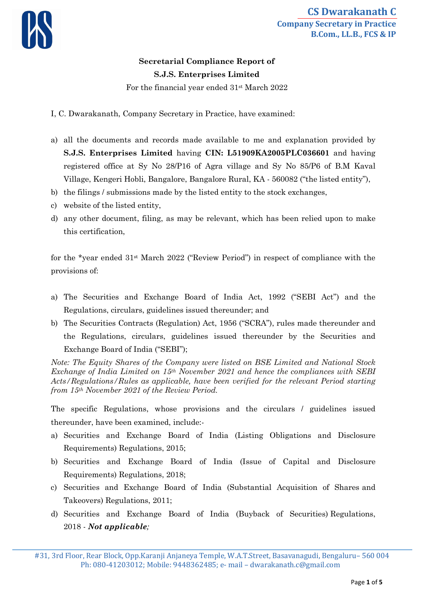**CS Dwarakanath C Company Secretary in Practice B.Com., LL.B., FCS & IP**

## **Secretarial Compliance Report of S.J.S. Enterprises Limited**

For the financial year ended 31<sup>st</sup> March 2022

I, C. Dwarakanath, Company Secretary in Practice, have examined:

- a) all the documents and records made available to me and explanation provided by **S.J.S. Enterprises Limited** having **CIN: L51909KA2005PLC036601** and having registered office at Sy No 28/P16 of Agra village and Sy No 85/P6 of B.M Kaval Village, Kengeri Hobli, Bangalore, Bangalore Rural, KA - 560082 ("the listed entity"),
- b) the filings / submissions made by the listed entity to the stock exchanges,
- c) website of the listed entity,
- d) any other document, filing, as may be relevant, which has been relied upon to make this certification,

for the \*year ended 31st March 2022 ("Review Period") in respect of compliance with the provisions of:

- a) The Securities and Exchange Board of India Act, 1992 ("SEBI Act") and the Regulations, circulars, guidelines issued thereunder; and
- b) The Securities Contracts (Regulation) Act, 1956 ("SCRA"), rules made thereunder and the Regulations, circulars, guidelines issued thereunder by the Securities and Exchange Board of India ("SEBI");

*Note: The Equity Shares of the Company were listed on BSE Limited and National Stock Exchange of India Limited on 15th November 2021 and hence the compliances with SEBI Acts/Regulations/Rules as applicable, have been verified for the relevant Period starting from 15th November 2021 of the Review Period.* 

The specific Regulations, whose provisions and the circulars / guidelines issued thereunder, have been examined, include:-

- a) Securities and Exchange Board of India (Listing Obligations and Disclosure Requirements) Regulations, 2015;
- b) Securities and Exchange Board of India (Issue of Capital and Disclosure Requirements) Regulations, 2018;
- c) Securities and Exchange Board of India (Substantial Acquisition of Shares and Takeovers) Regulations, 2011;
- d) Securities and Exchange Board of India (Buyback of Securities) Regulations, 2018 - *Not applicable;*

<sup>#31,</sup> 3rd Floor, Rear Block, Opp.Karanji Anjaneya Temple, W.A.T.Street, Basavanagudi, Bengaluru– 560 004 Ph: 080-41203012; Mobile: 9448362485; e- mail – dwarakanath.c@gmail.com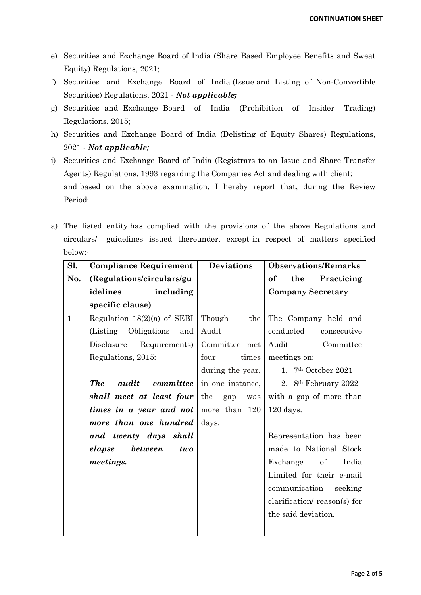- e) Securities and Exchange Board of India (Share Based Employee Benefits and Sweat Equity) Regulations, 2021;
- f) Securities and Exchange Board of India (Issue and Listing of Non-Convertible Securities) Regulations, 2021 - *Not applicable;*
- g) Securities and Exchange Board of India (Prohibition of Insider Trading) Regulations, 2015;
- h) Securities and Exchange Board of India (Delisting of Equity Shares) Regulations, 2021 - *Not applicable;*
- i) Securities and Exchange Board of India (Registrars to an Issue and Share Transfer Agents) Regulations, 1993 regarding the Companies Act and dealing with client; and based on the above examination, I hereby report that, during the Review Period:
- a) The listed entity has complied with the provisions of the above Regulations and circulars/ guidelines issued thereunder, except in respect of matters specified below:-

| Sl.          | <b>Compliance Requirement</b>    | <b>Deviations</b> | <b>Observations/Remarks</b>     |  |
|--------------|----------------------------------|-------------------|---------------------------------|--|
| No.          | (Regulations/circulars/gu        |                   | of<br>the<br>Practicing         |  |
|              | idelines<br>including            |                   | <b>Company Secretary</b>        |  |
|              | specific clause)                 |                   |                                 |  |
| $\mathbf{1}$ | Regulation $18(2)(a)$ of SEBI    | Though<br>the     | The Company held and            |  |
|              | (Listing Obligations)<br>and     | Audit             | conducted<br>consecutive        |  |
|              | Disclosure<br>Requirements)      | Committee met     | Audit<br>Committee              |  |
|              | Regulations, 2015:               | four<br>times     | meetings on:                    |  |
|              |                                  | during the year,  | 1. $7th October 2021$           |  |
|              | <b>The</b><br>audit<br>committee | in one instance,  | 2. $8th$ February 2022          |  |
|              | shall meet at least four         | the<br>gap<br>was | with a gap of more than         |  |
|              | times in a year and not          | more than 120     | $120$ days.                     |  |
|              | more than one hundred            | days.             |                                 |  |
|              | and twenty days shall            |                   | Representation has been         |  |
|              | elapse<br><b>between</b><br>two  |                   | made to National Stock          |  |
|              | meetings.                        |                   | $\sigma f$<br>Exchange<br>India |  |
|              |                                  |                   | Limited for their e-mail        |  |
|              |                                  |                   | communication<br>seeking        |  |
|              |                                  |                   | clarification/reason(s) for     |  |
|              |                                  |                   | the said deviation.             |  |
|              |                                  |                   |                                 |  |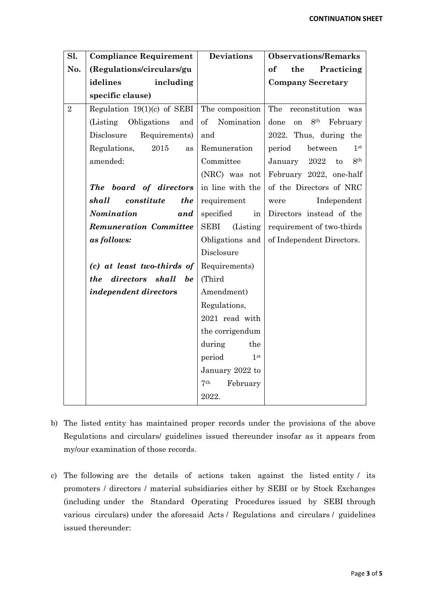| Sl.            | <b>Compliance Requirement</b>   | <b>Deviations</b>           | <b>Observations/Remarks</b>                      |  |
|----------------|---------------------------------|-----------------------------|--------------------------------------------------|--|
| No.            | (Regulations/circulars/gu       |                             | the<br>Practicing<br>of                          |  |
|                | idelines<br>including           |                             | <b>Company Secretary</b>                         |  |
|                | specific clause)                |                             |                                                  |  |
| $\overline{2}$ | Regulation $19(1)(c)$ of SEBI   | The composition             | reconstitution<br>The<br>was                     |  |
|                | Obligations<br>(Listing)<br>and | of<br>Nomination            | done<br>8 <sup>th</sup><br>February<br><b>on</b> |  |
|                | Disclosure<br>Requirements)     | and                         | 2022. Thus, during the                           |  |
|                | Regulations,<br>2015<br>as      | Remuneration                | period<br>between<br>1 <sup>st</sup>             |  |
|                | amended:                        | Committee                   | January<br>2022<br>8 <sup>th</sup><br>to         |  |
|                |                                 | (NRC) was not               | February 2022, one-half                          |  |
|                | The board of directors          | in line with the            | of the Directors of NRC                          |  |
|                | shall<br>constitute<br>the      | requirement                 | Independent<br>were                              |  |
|                | <b>Nomination</b><br>and        | specified<br>in             | Directors instead of the                         |  |
|                | <b>Remuneration Committee</b>   | <b>SEBI</b><br>(Listing     | requirement of two-thirds                        |  |
|                | as follows:                     | Obligations and             | of Independent Directors.                        |  |
|                |                                 | Disclosure                  |                                                  |  |
|                | (c) at least two-thirds of      | Requirements)               |                                                  |  |
|                | directors shall<br>the<br>be    | (Third                      |                                                  |  |
|                | independent directors           | Amendment)                  |                                                  |  |
|                |                                 | Regulations,                |                                                  |  |
|                |                                 | 2021 read with              |                                                  |  |
|                |                                 | the corrigendum             |                                                  |  |
|                |                                 | during<br>the               |                                                  |  |
|                |                                 | period<br>1st               |                                                  |  |
|                |                                 | January 2022 to             |                                                  |  |
|                |                                 | 7 <sup>th</sup><br>February |                                                  |  |
|                |                                 | 2022.                       |                                                  |  |

- b) The listed entity has maintained proper records under the provisions of the above Regulations and circulars/ guidelines issued thereunder insofar as it appears from my/our examination of those records.
- c) The following are the details of actions taken against the listed entity / its promoters / directors / material subsidiaries either by SEBI or by Stock Exchanges (including under the Standard Operating Procedures issued by SEBI through various circulars) under the aforesaid Acts / Regulations and circulars / guidelines issued thereunder: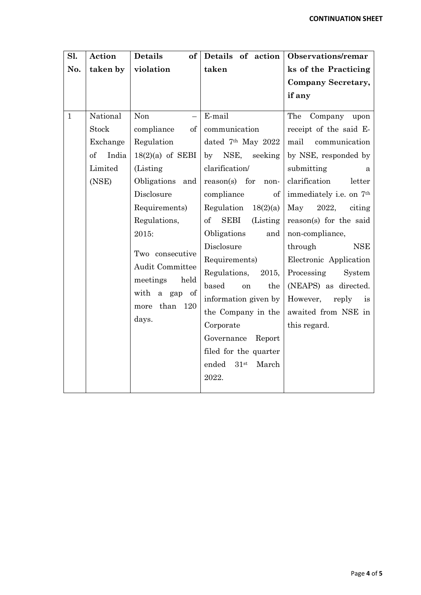| Sl.          | Action                                                                             | <b>Details</b><br>of <sub>l</sub>                                                                                                                                                                                                                                      | Details of action                                                                                                                                                                                                                                                                                                                                                                                                                                                                                | Observations/remar                                                                                                                                                                                                                                                                                                                                                                                                                 |
|--------------|------------------------------------------------------------------------------------|------------------------------------------------------------------------------------------------------------------------------------------------------------------------------------------------------------------------------------------------------------------------|--------------------------------------------------------------------------------------------------------------------------------------------------------------------------------------------------------------------------------------------------------------------------------------------------------------------------------------------------------------------------------------------------------------------------------------------------------------------------------------------------|------------------------------------------------------------------------------------------------------------------------------------------------------------------------------------------------------------------------------------------------------------------------------------------------------------------------------------------------------------------------------------------------------------------------------------|
| No.          | taken by                                                                           | violation                                                                                                                                                                                                                                                              | taken                                                                                                                                                                                                                                                                                                                                                                                                                                                                                            | ks of the Practicing                                                                                                                                                                                                                                                                                                                                                                                                               |
|              |                                                                                    |                                                                                                                                                                                                                                                                        |                                                                                                                                                                                                                                                                                                                                                                                                                                                                                                  | Company Secretary,                                                                                                                                                                                                                                                                                                                                                                                                                 |
|              |                                                                                    |                                                                                                                                                                                                                                                                        |                                                                                                                                                                                                                                                                                                                                                                                                                                                                                                  | if any                                                                                                                                                                                                                                                                                                                                                                                                                             |
| $\mathbf{1}$ | National<br><b>Stock</b><br>Exchange<br><sub>of</sub><br>India<br>Limited<br>(NSE) | Non<br>compliance<br>$\sigma$<br>Regulation<br>$18(2)(a)$ of SEBI<br>(Listing)<br>Obligations<br>and<br>Disclosure<br>Requirements)<br>Regulations,<br>2015:<br>Two consecutive<br>Audit Committee<br>meetings<br>held<br>with a gap of<br>than $120$<br>more<br>days. | E-mail<br>communication<br>dated $7th$ May 2022<br>NSE,<br>seeking<br>$_{\rm by}$<br>clarification/<br>$reason(s)$ for<br>non-<br>compliance<br>$\mathrm{of}$<br>Regulation<br>18(2)(a)<br>$\sigma f$<br><b>SEBI</b><br>(Listing)<br>Obligations<br>and<br>Disclosure<br>Requirements)<br>Regulations,<br>2015,<br>based<br>the<br>on<br>information given by<br>the Company in the<br>Corporate<br>Governance<br>Report<br>filed for the quarter<br>ended<br>31 <sup>st</sup><br>March<br>2022. | The<br>Company<br>upon<br>receipt of the said E-<br>mail<br>communication<br>by NSE, responded by<br>submitting<br>a<br>clarification<br>letter<br>immediately i.e. on 7 <sup>th</sup><br>May<br>2022,<br>citing<br>reason(s) for the said<br>non-compliance,<br>through<br><b>NSE</b><br>Electronic Application<br>Processing<br>System<br>(NEAPS) as directed.<br>However,<br>reply<br>is<br>awaited from NSE in<br>this regard. |